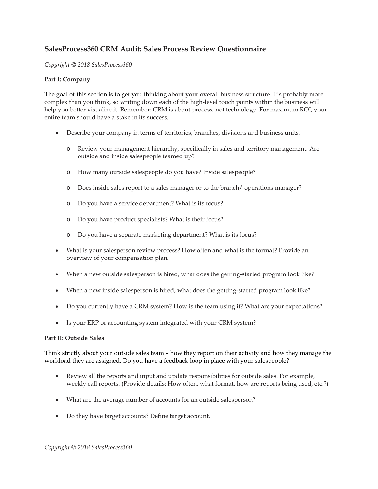# **SalesProcess360 CRM Audit: Sales Process Review Questionnaire**

*Copyright © 2018 SalesProcess360*

### **Part I: Company**

The goal of this section is to get you thinking about your overall business structure. It's probably more complex than you think, so writing down each of the high-level touch points within the business will help you better visualize it. Remember: CRM is about process, not technology. For maximum ROI, your entire team should have a stake in its success.

- Describe your company in terms of territories, branches, divisions and business units.
	- o Review your management hierarchy, specifically in sales and territory management. Are outside and inside salespeople teamed up?
	- o How many outside salespeople do you have? Inside salespeople?
	- o Does inside sales report to a sales manager or to the branch/ operations manager?
	- o Do you have a service department? What is its focus?
	- o Do you have product specialists? What is their focus?
	- o Do you have a separate marketing department? What is its focus?
- What is your salesperson review process? How often and what is the format? Provide an overview of your compensation plan.
- When a new outside salesperson is hired, what does the getting-started program look like?
- When a new inside salesperson is hired, what does the getting-started program look like?
- Do you currently have a CRM system? How is the team using it? What are your expectations?
- Is your ERP or accounting system integrated with your CRM system?

#### **Part II: Outside Sales**

Think strictly about your outside sales team – how they report on their activity and how they manage the workload they are assigned. Do you have a feedback loop in place with your salespeople?

- Review all the reports and input and update responsibilities for outside sales. For example, weekly call reports. (Provide details: How often, what format, how are reports being used, etc.?)
- What are the average number of accounts for an outside salesperson?
- Do they have target accounts? Define target account.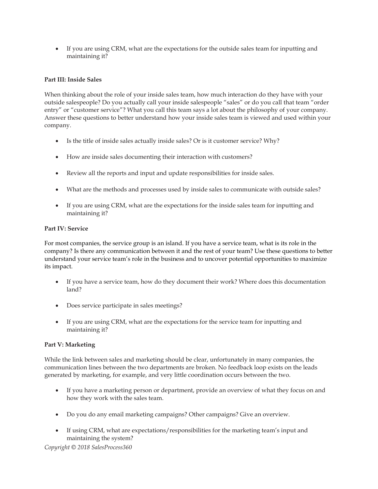If you are using CRM, what are the expectations for the outside sales team for inputting and maintaining it?

## **Part III: Inside Sales**

When thinking about the role of your inside sales team, how much interaction do they have with your outside salespeople? Do you actually call your inside salespeople "sales" or do you call that team "order entry" or "customer service"? What you call this team says a lot about the philosophy of your company. Answer these questions to better understand how your inside sales team is viewed and used within your company.

- Is the title of inside sales actually inside sales? Or is it customer service? Why?
- How are inside sales documenting their interaction with customers?
- Review all the reports and input and update responsibilities for inside sales.
- What are the methods and processes used by inside sales to communicate with outside sales?
- If you are using CRM, what are the expectations for the inside sales team for inputting and maintaining it?

### **Part IV: Service**

For most companies, the service group is an island. If you have a service team, what is its role in the company? Is there any communication between it and the rest of your team? Use these questions to better understand your service team's role in the business and to uncover potential opportunities to maximize its impact.

- If you have a service team, how do they document their work? Where does this documentation land?
- Does service participate in sales meetings?
- If you are using CRM, what are the expectations for the service team for inputting and maintaining it?

### **Part V: Marketing**

While the link between sales and marketing should be clear, unfortunately in many companies, the communication lines between the two departments are broken. No feedback loop exists on the leads generated by marketing, for example, and very little coordination occurs between the two.

- If you have a marketing person or department, provide an overview of what they focus on and how they work with the sales team.
- Do you do any email marketing campaigns? Other campaigns? Give an overview.
- If using CRM, what are expectations/responsibilities for the marketing team's input and maintaining the system?

*Copyright © 2018 SalesProcess360*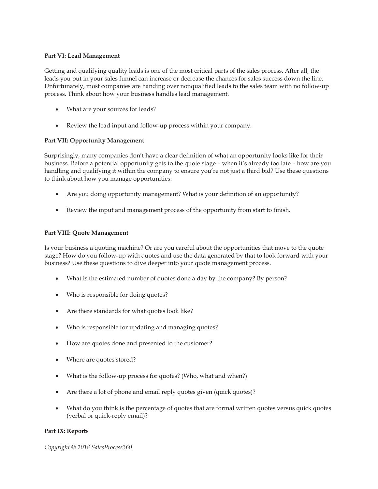#### **Part VI: Lead Management**

Getting and qualifying quality leads is one of the most critical parts of the sales process. After all, the leads you put in your sales funnel can increase or decrease the chances for sales success down the line. Unfortunately, most companies are handing over nonqualified leads to the sales team with no follow-up process. Think about how your business handles lead management.

- What are your sources for leads?
- Review the lead input and follow-up process within your company.

## **Part VII: Opportunity Management**

Surprisingly, many companies don't have a clear definition of what an opportunity looks like for their business. Before a potential opportunity gets to the quote stage – when it's already too late – how are you handling and qualifying it within the company to ensure you're not just a third bid? Use these questions to think about how you manage opportunities.

- Are you doing opportunity management? What is your definition of an opportunity?
- Review the input and management process of the opportunity from start to finish.

### **Part VIII: Quote Management**

Is your business a quoting machine? Or are you careful about the opportunities that move to the quote stage? How do you follow-up with quotes and use the data generated by that to look forward with your business? Use these questions to dive deeper into your quote management process.

- What is the estimated number of quotes done a day by the company? By person?
- Who is responsible for doing quotes?
- Are there standards for what quotes look like?
- Who is responsible for updating and managing quotes?
- How are quotes done and presented to the customer?
- Where are quotes stored?
- What is the follow-up process for quotes? (Who, what and when?)
- Are there a lot of phone and email reply quotes given (quick quotes)?
- What do you think is the percentage of quotes that are formal written quotes versus quick quotes (verbal or quick-reply email)?

### **Part IX: Reports**

*Copyright © 2018 SalesProcess360*